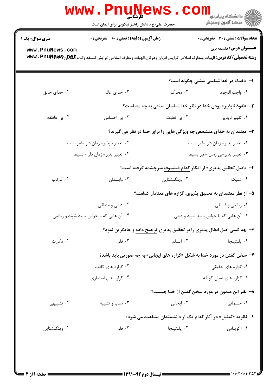|                                                                          | <b>www.PnuNews</b><br>کارشتاسی<br>حضرت علی(ع): دانش راهبر نیکویی برای ایمان است                                                                                        |                                                                                    | د دانشگاه پيام نور<br>ا∛ مرکز آزمون وسنجش                                      |
|--------------------------------------------------------------------------|------------------------------------------------------------------------------------------------------------------------------------------------------------------------|------------------------------------------------------------------------------------|--------------------------------------------------------------------------------|
| <b>سری سوال:</b> یک ۱<br>www.PnuNews.com                                 | <b>زمان آزمون (دقیقه) : تستی : 60 ٪ تشریحی : 0</b><br>رشته تحصیلی/کد درس: الهیات ومعارف اسلامی گرایش ادیان وعرفان،الهیات ومعارف اسلامی گرایش فلسفه وکلام www . PnuNewA |                                                                                    | <b>تعداد سوالات : تستی : 30 ٪ تشریحی : 0</b><br><b>عنـــوان درس:</b> فلسفه دین |
|                                                                          |                                                                                                                                                                        |                                                                                    | ۱- «خدا» در خداشناسی سنتی چگونه است؟                                           |
| ۰۴ خدای خالق                                                             | ۰۳ خدای عالم                                                                                                                                                           | ۰۲ محرک                                                                            | ٠١. واجب الوجود                                                                |
|                                                                          |                                                                                                                                                                        | <b>۲</b> - «نفوذ ناپذیر» بودن خدا در نظر خداشناسان سنتی به چه معناست؟              |                                                                                |
| ۰۴ بی عاطفه                                                              | ۰۳ بی احساس                                                                                                                                                            | ۰۲ بی تفاوت                                                                        | ۰۱ تغییر ناپذیر                                                                |
|                                                                          |                                                                                                                                                                        | <b>۳</b> - معتقدان به <u>خدای متشخص</u> چه ویژگی هایی را برای خدا در نظر می گیرند؟ |                                                                                |
|                                                                          | ۰۲ تغییر ناپذیر- زمان دار -غیر بسیط                                                                                                                                    |                                                                                    | ٠١ تغيير پذير- زمان دار -غير بسيط                                              |
|                                                                          | ۰۴ تغيير پذير- زمان دار - بسيط                                                                                                                                         |                                                                                    | ۰۳ تغییر پذیر-بی زمان خیر بسیط                                                 |
|                                                                          |                                                                                                                                                                        | ۴- «اصل تحقیق پذیری» از افکار کدام فیلسوف سرچشمه گرفته است؟                        |                                                                                |
| ۰۴ کارناپ                                                                | ۰۳ وايسمان                                                                                                                                                             | ۰۲ ویتگنشتاین                                                                      | ۰۱ شلیک                                                                        |
|                                                                          |                                                                                                                                                                        | ۵– از نظر معتقدان به <u>تحقیق پذیری</u> ، گزاره های معنادار کدامند؟                |                                                                                |
|                                                                          | ۰۲ دینی و منطقی                                                                                                                                                        |                                                                                    | ۰۱ ریاضی و فلسفی                                                               |
|                                                                          | ۰۴ آن هایی که با حواس تایید شوند و ریاضی                                                                                                                               |                                                                                    | ۰۳ آن هایی که با حواس تایید شوند و دینی                                        |
|                                                                          |                                                                                                                                                                        | ۶- چه کسی اصل ابطال پذیری را بر تحقیق پذیری ترجیح داده و جایگزین نمود؟             |                                                                                |
| ۰۴ دکارت                                                                 | ۰۳ فلو                                                                                                                                                                 | ۰۲ آنسلم                                                                           | ۰۱ پلنتينجا                                                                    |
|                                                                          |                                                                                                                                                                        |                                                                                    |                                                                                |
| ۷- سخن گفتن در مورد خدا به شکل «گزاره های ایجابی» به چه صورتی باید باشد؟ |                                                                                                                                                                        |                                                                                    | ۰۱ گزاره های حقیقی                                                             |
|                                                                          | ۰۲ گزاره های کاذب<br>۰۴ گزاره های استعاری                                                                                                                              |                                                                                    | ۰۳ گزاره های همان گویانه                                                       |
|                                                                          |                                                                                                                                                                        |                                                                                    |                                                                                |
|                                                                          |                                                                                                                                                                        | ۸– نظر ابن میمون در مورد سخن گفتن از خدا چیست؟                                     |                                                                                |
| ۰۴ تشبیهی                                                                | ۰۳ سلب و تشبیه                                                                                                                                                         | ۰۲ ایجابی                                                                          | ۰۱ جسمانی                                                                      |
|                                                                          |                                                                                                                                                                        | ۹- نظریه «تمثیل» در آثار کدام یک از دانشمندان مشاهده می شود؟                       |                                                                                |
| ۰۴ ويتگنشتاين                                                            | ۰۳ فلو                                                                                                                                                                 | ۰۲ پلنتينجا                                                                        | ١. أكويناس                                                                     |
|                                                                          |                                                                                                                                                                        |                                                                                    |                                                                                |
|                                                                          |                                                                                                                                                                        |                                                                                    |                                                                                |
|                                                                          |                                                                                                                                                                        |                                                                                    |                                                                                |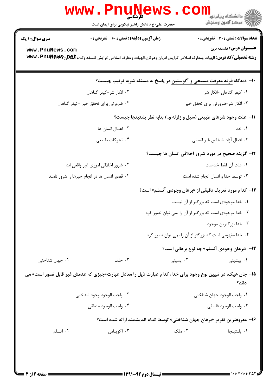|                                                                   | <b>WWW.PNUNews</b><br>حضرت علی(ع): دانش راهبر نیکویی برای ایمان است                                                |                                   | <sup>ال</sup> ڪ دانشڪاه پيام نور <sup>دا</sup><br>ا∛ مرکز آزمون وسنڊش                                                                                                                                          |  |  |
|-------------------------------------------------------------------|--------------------------------------------------------------------------------------------------------------------|-----------------------------------|----------------------------------------------------------------------------------------------------------------------------------------------------------------------------------------------------------------|--|--|
| <b>سری سوال : ۱ یک</b><br>www.PnuNews.com                         | زمان آزمون (دقیقه) : تستی : 60 گشریحی : 0                                                                          |                                   | <b>تعداد سوالات : تستی : 30 ٪ تشریحی : 0</b><br><b>عنـــوان درس:</b> فلسفه دین<br>رشته تحصیلی/کد درس: الهیات ومعارف اسلامی گرایش ادیان وعرفان،الهیات ومعارف اسلامی گرایش فلسفه وکلام <b>بگیهیچ@wwv . Pnune</b> |  |  |
|                                                                   |                                                                                                                    |                                   |                                                                                                                                                                                                                |  |  |
|                                                                   |                                                                                                                    |                                   | +ا- دیدگاه فرقه معرفت مسیحی و آگوستین در پاسخ به مسئله شربه ترتیب چیست؟                                                                                                                                        |  |  |
|                                                                   | ۰۲ انکار شر-کیفر گناهان                                                                                            |                                   | ۰۱ کیفر گناهان -انکار شر                                                                                                                                                                                       |  |  |
|                                                                   | ۰۴ ضرورتی برای تحقق خیر -کیفر گناهان                                                                               |                                   | ۰۳ انکار شر-ضرورتی برای تحقق خیر                                                                                                                                                                               |  |  |
| 11- علت وجود شرهای طبیعی (سیل و زلزله و) بنابه نظر پلنتینجا چیست؟ |                                                                                                                    |                                   |                                                                                                                                                                                                                |  |  |
|                                                                   | ۰۲ اعمال انسان ها                                                                                                  |                                   | ۰۱ خدا                                                                                                                                                                                                         |  |  |
|                                                                   | ۰۴ تحركات طبيعي                                                                                                    |                                   | ۰۳ افعال آزاد اشخاص غير انساني                                                                                                                                                                                 |  |  |
|                                                                   |                                                                                                                    |                                   | <b>۱۲</b> - گزینه صحیح در مورد شرور اخلاقی انسان ها چیست؟                                                                                                                                                      |  |  |
|                                                                   | ۰۲ شرور اخلاقی اموری غیر واقعی اند                                                                                 |                                   | ٠١ علت آن فقط خداست                                                                                                                                                                                            |  |  |
|                                                                   | ۰۴ قصور انسان ها در انجام خیرها را شرور نامند                                                                      |                                   | ۰۳ توسط خدا و انسان انجام شده است                                                                                                                                                                              |  |  |
|                                                                   |                                                                                                                    |                                   | ۱۳- کدام مورد تعریف دقیقی از «برهان وجودی آنسلم» است؟                                                                                                                                                          |  |  |
|                                                                   |                                                                                                                    |                                   | ۰۱ خدا موجودی است که بزرگتر از آن نیست                                                                                                                                                                         |  |  |
|                                                                   |                                                                                                                    |                                   | ۰۲ خدا موجودی است که بزرگتر از آن را نمی توان تصور کرد                                                                                                                                                         |  |  |
|                                                                   |                                                                                                                    |                                   | ۰۳ خدا بزرگترین موجود                                                                                                                                                                                          |  |  |
|                                                                   |                                                                                                                    |                                   | ۰۴ خدا مفهومی است که بزرگتر از آن را نمی توان تصور کرد                                                                                                                                                         |  |  |
|                                                                   |                                                                                                                    |                                   | <b>۱۴</b> - «برهان وجودی آنسلم» چه نوع برهانی است؟                                                                                                                                                             |  |  |
| ۰۴ جهان شناختی                                                    | ۰۳ خلف                                                                                                             | ۰۲ پسینی                          | ۰۱ پیشینی                                                                                                                                                                                                      |  |  |
|                                                                   | 1۵- جان هیک، در تبیین نوع وجود برای خدا، کدام عبارت ذیل را معادل عبارت«چیزی که عدمش غیر قابل تصور است» می<br>داند؟ |                                   |                                                                                                                                                                                                                |  |  |
|                                                                   | ٢.  واجب الوجود وجود شناختي                                                                                        |                                   | ٠١. واجب الوجود جهان شناختي                                                                                                                                                                                    |  |  |
|                                                                   | ۰۴ واجب الوجود منطقى                                                                                               |                                   | ٠٣ واجب الوجود فلسفى                                                                                                                                                                                           |  |  |
|                                                                   |                                                                                                                    |                                   | ۱۶- معروفترین تقریر «برهان جهان شناختی» توسط کدام اندیشمند ارائه شده است؟                                                                                                                                      |  |  |
| ۰۴ آنسلم                                                          | ۰۳ آکویناس                                                                                                         | ۰۲ ملکم                           | ٠١. پلنتينجا                                                                                                                                                                                                   |  |  |
|                                                                   |                                                                                                                    |                                   |                                                                                                                                                                                                                |  |  |
|                                                                   |                                                                                                                    |                                   |                                                                                                                                                                                                                |  |  |
|                                                                   |                                                                                                                    |                                   |                                                                                                                                                                                                                |  |  |
| <b>: صفحه ۱۲; ۴</b>                                               |                                                                                                                    | ــــــــ نیمسال دوم ۹۲-۱۳۹۱ ـــــ | = ۱۰۱۰/۱۰۱۰۰۳۵۲ =                                                                                                                                                                                              |  |  |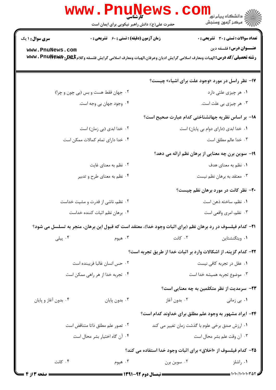| <b>www.PnuNewS</b><br>حضرت علی(ع): دانش راهبر نیکویی برای ایمان است          | ر دانشگاه پيام نور <mark>− −</mark><br>ار∕* مرکز آزمون وسنجش<br>کارشناسی                                                                             |
|------------------------------------------------------------------------------|------------------------------------------------------------------------------------------------------------------------------------------------------|
| <b>زمان آزمون (دقیقه) : تستی : 60 ٪ تشریحی : 0</b><br><b>سری سوال : ۱ یک</b> | <b>تعداد سوالات : تستی : 30 ٪ تشریحی : 0</b>                                                                                                         |
| www.PnuNews.com                                                              | <b>عنـــوان درس:</b> فلسفه دین<br>رشته تحصیلی/کد درس: الهیات ومعارف اسلامی گرایش ادیان وعرفان،الهیات ومعارف اسلامی گرایش فلسفه وکلام www . PnuŊewA+  |
|                                                                              | ۱۷- نظر راسل در مورد «وجود علت برای اشیاء» چیست؟                                                                                                     |
| ۰۲ جهان فقط هست و بس (بي چون و چرا)                                          | ۰۱ هر چیزی علتی دارد                                                                                                                                 |
| ۰۴ وجود جهان بي وجه است.                                                     | ۰۳ هر چیزی بی علت است.                                                                                                                               |
|                                                                              | ۱۸− بر اساس نظریه جهانشناختی کدام عبارت صحیح است؟                                                                                                    |
| ۰۲ خدا ابدی (بی زمان) است                                                    | ۰۱ خدا ابدی (دارای دوام بی پایان) است                                                                                                                |
| ۰۴ خدا دارای تمام کمالات ممکن است                                            | ۰۳ خدا عالم مطلق است                                                                                                                                 |
|                                                                              | <b>۱۹</b> - سوین برن چه معنایی از برهان نظم ارائه می دهد؟                                                                                            |
| ۰۲ نظم به معنای غایت                                                         | ۰۱ نظم به معنای هدف                                                                                                                                  |
| ۰۴ نظم به معنای طرح و تدبیر                                                  | ۰۳ معتقد به برهان نظم نیست                                                                                                                           |
|                                                                              | ۲۰- نظر کانت در مورد برهان نظم چیست؟                                                                                                                 |
| ۰۲ نظم، ناشی از قدرت و مشیت خداست                                            | ۰۱ نظم، ساخته ذهن است                                                                                                                                |
| ۰۴ برهان نظم اثبات كننده خداست                                               | ۰۳ نظم، امری واقعی است                                                                                                                               |
|                                                                              | <b>۲۱</b> – کدام فیلسوف در رد برهان نظم (برای اثبات وجود خدا)، معتقد است که قبول این برهان، منجر به تسلسل می شود؟                                    |
| ۰۳ هیوم<br>۰۴ پیلی                                                           | ۰۲ کانت<br>۰۱ ویتگنشتاین                                                                                                                             |
|                                                                              | ٢٢- كدام گزينه، از اشكالات وارد بر اثبات خدا از طريق تجربه است؟                                                                                      |
| ۰۲ حس انسان غالبا فريبنده است                                                | ۰۱ عقل در تجربه کافی نیست                                                                                                                            |
| ۰۴ تجربه خدا از هر راهی ممکن است                                             | ۰۳ موضوع تجربه هميشه خدا است                                                                                                                         |
|                                                                              | <b>۲۳</b> - سرمدیت از نظر متکلمین به چه معنایی است؟                                                                                                  |
| ۰۴ بدون آغاز و پایان<br>۰۳ بدون پایان                                        | ۰۲ بدون آغاز<br>۰۱ بی زمانی                                                                                                                          |
|                                                                              | ۲۴- ایراد مشهور به وجود علم مطلق برای خداوند کدام است؟                                                                                               |
| ٠٢ تصور علم مطلق ذاتا متناقض است                                             | ۰۱ ارزش صدق برخی علوم با گذشت زمان تغییر می کند                                                                                                      |
| ۰۴ آن گاه اختیار بشر محال است                                                | ۰۳ آن وقت علم بشر محال است                                                                                                                           |
|                                                                              | <b>۲۵</b> – کدام فیلسوف از «اخلاق» برای اثبات وجود خدا استفاده می کند؟                                                                               |
| ۰۴ کانت<br>۰۳ هیوم                                                           | ۰۱ راشلز<br>۰۲ سوین برن                                                                                                                              |
| <b>= صفحه 3 از 4</b> =                                                       | $\longrightarrow$ $\longrightarrow$ $\longmapsto$ $\longmapsto$ $\longmapsto$ $\longmapsto$ $\longmapsto$ $\longmapsto$<br>۔۔۔۔ نیمسال دوم 92-1391 ۔ |